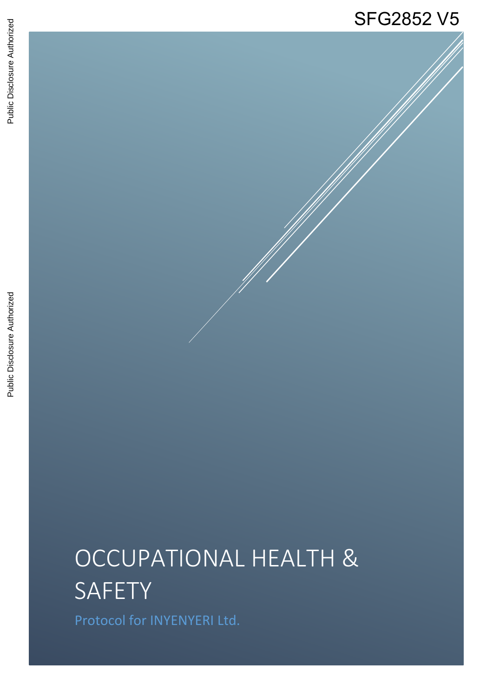## SFG2852 V5

# OCCUPATIONAL HEALTH & SAFETY

Protocol for INYENYERI Ltd.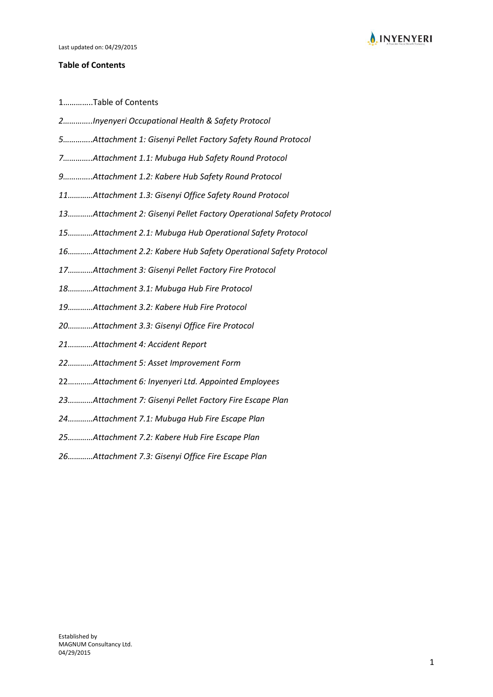

#### **Table of Contents**

1…………..Table of Contents

- *2…………..Inyenyeri Occupational Health & Safety Protocol*
- *…………..Attachment 1: Gisenyi Pellet Factory Safety Round Protocol*
- *…………..Attachment 1.1: Mubuga Hub Safety Round Protocol*
- *…………..Attachment 1.2: Kabere Hub Safety Round Protocol*
- *…………Attachment 1.3: Gisenyi Office Safety Round Protocol*
- *…………Attachment 2: Gisenyi Pellet Factory Operational Safety Protocol*
- *…………Attachment 2.1: Mubuga Hub Operational Safety Protocol*
- *…………Attachment 2.2: Kabere Hub Safety Operational Safety Protocol*
- *…………Attachment 3: Gisenyi Pellet Factory Fire Protocol*
- *…………Attachment 3.1: Mubuga Hub Fire Protocol*
- *…………Attachment 3.2: Kabere Hub Fire Protocol*
- *…………Attachment 3.3: Gisenyi Office Fire Protocol*
- *…………Attachment 4: Accident Report*
- *…………Attachment 5: Asset Improvement Form*
- …………*Attachment 6: Inyenyeri Ltd. Appointed Employees*
- *…………Attachment 7: Gisenyi Pellet Factory Fire Escape Plan*
- *…………Attachment 7.1: Mubuga Hub Fire Escape Plan*
- *…………Attachment 7.2: Kabere Hub Fire Escape Plan*
- *…………Attachment 7.3: Gisenyi Office Fire Escape Plan*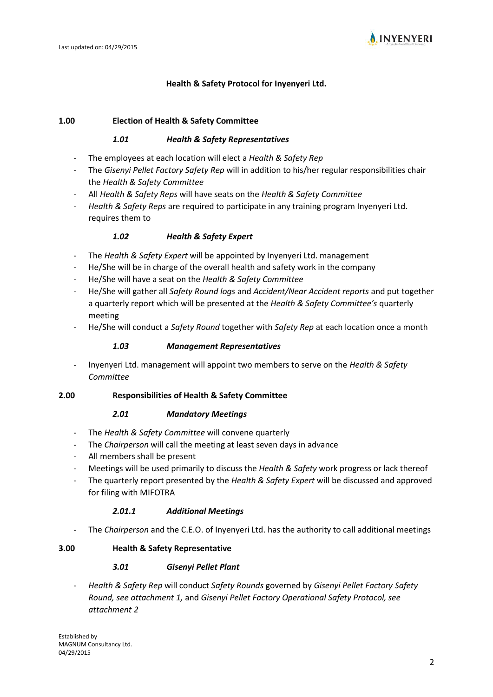

#### **Health & Safety Protocol for Inyenyeri Ltd.**

#### **1.00 Election of Health & Safety Committee**

#### *1.01 Health & Safety Representatives*

- The employees at each location will elect a *Health & Safety Rep*
- The *Gisenyi Pellet Factory Safety Rep* will in addition to his/her regular responsibilities chair the *Health & Safety Committee*
- All *Health & Safety Reps* will have seats on the *Health & Safety Committee*
- *Health & Safety Reps* are required to participate in any training program Inyenyeri Ltd. requires them to

#### *1.02 Health & Safety Expert*

- The *Health & Safety Expert* will be appointed by Inyenyeri Ltd. management
- He/She will be in charge of the overall health and safety work in the company
- He/She will have a seat on the *Health & Safety Committee*
- He/She will gather all *Safety Round logs* and *Accident/Near Accident reports* and put together a quarterly report which will be presented at the *Health & Safety Committee's* quarterly meeting
- He/She will conduct a *Safety Round* together with *Safety Rep* at each location once a month

#### *1.03 Management Representatives*

- Inyenyeri Ltd. management will appoint two members to serve on the *Health & Safety Committee*

#### **2.00 Responsibilities of Health & Safety Committee**

#### *2.01 Mandatory Meetings*

- The *Health & Safety Committee* will convene quarterly
- The *Chairperson* will call the meeting at least seven days in advance
- All members shall be present
- Meetings will be used primarily to discuss the *Health & Safety* work progress or lack thereof
- The quarterly report presented by the *Health & Safety Expert* will be discussed and approved for filing with MIFOTRA

#### *2.01.1 Additional Meetings*

- The *Chairperson* and the C.E.O. of Inyenyeri Ltd. has the authority to call additional meetings

#### **3.00 Health & Safety Representative**

#### *3.01 Gisenyi Pellet Plant*

- *Health & Safety Rep* will conduct *Safety Rounds* governed by *Gisenyi Pellet Factory Safety Round, see attachment 1,* and *Gisenyi Pellet Factory Operational Safety Protocol, see attachment 2*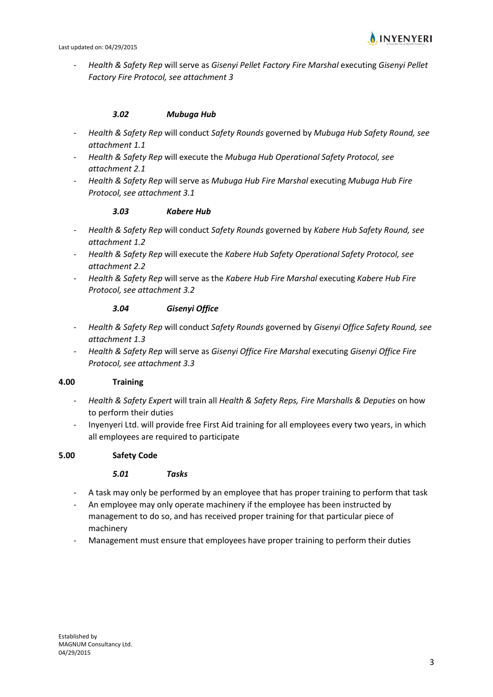

- *Health & Safety Rep* will serve as *Gisenyi Pellet Factory Fire Marshal* executing *Gisenyi Pellet Factory Fire Protocol, see attachment 3*

#### *3.02 Mubuga Hub*

- *Health & Safety Rep* will conduct *Safety Rounds* governed by *Mubuga Hub Safety Round, see attachment 1.1*
- *Health & Safety Rep* will execute the *Mubuga Hub Operational Safety Protocol, see attachment 2.1*
- *Health & Safety Rep* will serve as *Mubuga Hub Fire Marshal* executing *Mubuga Hub Fire Protocol, see attachment 3.1*

#### *3.03 Kabere Hub*

- *Health & Safety Rep* will conduct *Safety Rounds* governed by *Kabere Hub Safety Round, see attachment 1.2*
- *Health & Safety Rep* will execute the *Kabere Hub Safety Operational Safety Protocol, see attachment 2.2*
- *Health & Safety Rep* will serve as the *Kabere Hub Fire Marshal* executing *Kabere Hub Fire Protocol, see attachment 3.2*

#### *3.04 Gisenyi Office*

- *Health & Safety Rep* will conduct *Safety Rounds* governed by *Gisenyi Office Safety Round, see attachment 1.3*
- *Health & Safety Rep* will serve as *Gisenyi Office Fire Marshal* executing *Gisenyi Office Fire Protocol, see attachment 3.3*

#### **4.00 Training**

- *Health & Safety Expert* will train all *Health & Safety Reps, Fire Marshalls & Deputies* on how to perform their duties
- Inyenyeri Ltd. will provide free First Aid training for all employees every two years, in which all employees are required to participate

#### **5.00 Safety Code**

#### *5.01 Tasks*

- A task may only be performed by an employee that has proper training to perform that task
- An employee may only operate machinery if the employee has been instructed by management to do so, and has received proper training for that particular piece of machinery
- Management must ensure that employees have proper training to perform their duties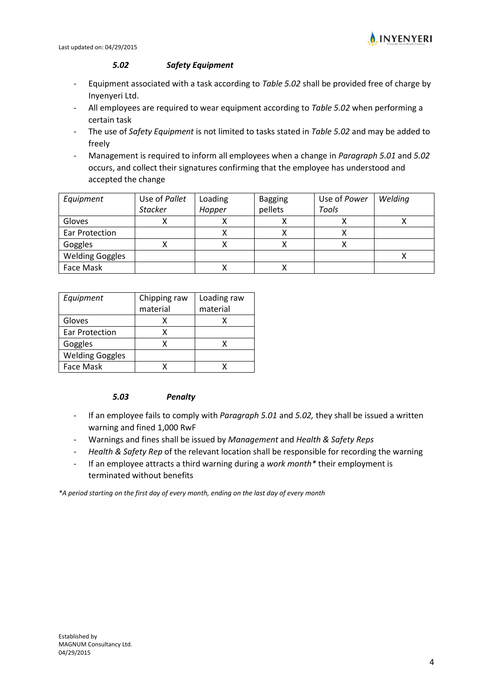

#### *5.02 Safety Equipment*

- Equipment associated with a task according to *Table 5.02* shall be provided free of charge by Inyenyeri Ltd.
- All employees are required to wear equipment according to *Table 5.02* when performing a certain task
- The use of *Safety Equipment* is not limited to tasks stated in *Table 5.02* and may be added to freely
- Management is required to inform all employees when a change in *Paragraph 5.01* and *5.02* occurs, and collect their signatures confirming that the employee has understood and accepted the change

| Equipment              | Use of Pallet  | Loading | <b>Bagging</b> | Use of Power | Welding |
|------------------------|----------------|---------|----------------|--------------|---------|
|                        | <b>Stacker</b> | Hopper  | pellets        | Tools        |         |
| Gloves                 |                |         |                |              |         |
| Ear Protection         |                |         |                |              |         |
| Goggles                |                |         |                |              |         |
| <b>Welding Goggles</b> |                |         |                |              |         |
| Face Mask              |                |         |                |              |         |

| Equipment              | Chipping raw | Loading raw |  |
|------------------------|--------------|-------------|--|
|                        | material     | material    |  |
| Gloves                 |              |             |  |
| Ear Protection         | χ            |             |  |
| Goggles                |              |             |  |
| <b>Welding Goggles</b> |              |             |  |
| Face Mask              |              |             |  |

#### *5.03 Penalty*

- If an employee fails to comply with *Paragraph 5.01* and *5.02,* they shall be issued a written warning and fined 1,000 RwF
- Warnings and fines shall be issued by *Management* and *Health & Safety Reps*
- *Health & Safety Rep* of the relevant location shall be responsible for recording the warning
- If an employee attracts a third warning during a *work month\** their employment is terminated without benefits

*\*A period starting on the first day of every month, ending on the last day of every month*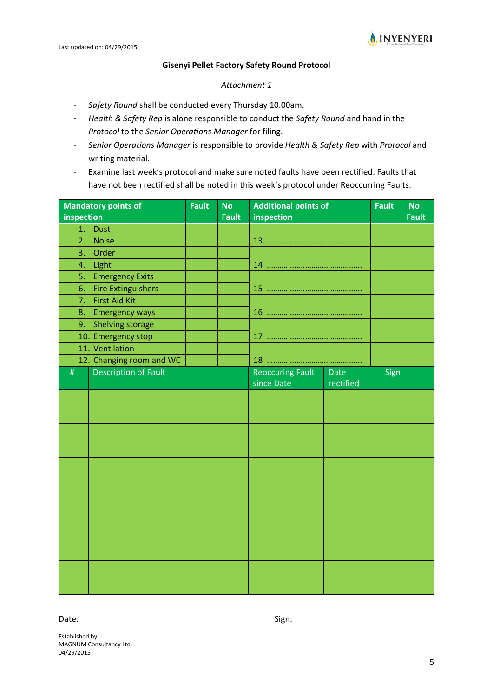

#### **Gisenyi Pellet Factory Safety Round Protocol**

#### *Attachment 1*

- *Safety Round* shall be conducted every Thursday 10.00am.
- *Health & Safety Rep* is alone responsible to conduct the *Safety Round* and hand in the *Protocol* to the *Senior Operations Manager* for filing.
- *Senior Operations Manager* is responsible to provide *Health & Safety Rep* with *Protocol* and writing material.
- Examine last week's protocol and make sure noted faults have been rectified. Faults that have not been rectified shall be noted in this week's protocol under Reoccurring Faults.

|                | <b>Mandatory points of</b>  | <b>Fault</b> | <b>No</b>    | <b>Additional points of</b> |             | <b>Fault</b> | <b>No</b>    |
|----------------|-----------------------------|--------------|--------------|-----------------------------|-------------|--------------|--------------|
| inspection     |                             |              | <b>Fault</b> | inspection                  |             |              | <b>Fault</b> |
| 1.             | <b>Dust</b>                 |              |              |                             |             |              |              |
| 2.             | <b>Noise</b>                |              |              |                             |             |              |              |
| 3 <sub>1</sub> | Order                       |              |              |                             |             |              |              |
| 4.             | Light                       |              |              |                             |             |              |              |
| 5.             | <b>Emergency Exits</b>      |              |              |                             |             |              |              |
| 6.             | <b>Fire Extinguishers</b>   |              |              |                             |             |              |              |
| 7.             | <b>First Aid Kit</b>        |              |              |                             |             |              |              |
| 8.             | <b>Emergency ways</b>       |              |              |                             |             |              |              |
| 9.             | Shelving storage            |              |              |                             |             |              |              |
|                | 10. Emergency stop          |              |              |                             |             |              |              |
|                | 11. Ventilation             |              |              |                             |             |              |              |
|                | 12. Changing room and WC    |              |              |                             |             |              |              |
| $\#$           | <b>Description of Fault</b> |              |              | <b>Reoccuring Fault</b>     | <b>Date</b> | Sign         |              |
|                |                             |              |              | since Date                  | rectified   |              |              |
|                |                             |              |              |                             |             |              |              |
|                |                             |              |              |                             |             |              |              |
|                |                             |              |              |                             |             |              |              |
|                |                             |              |              |                             |             |              |              |
|                |                             |              |              |                             |             |              |              |
|                |                             |              |              |                             |             |              |              |
|                |                             |              |              |                             |             |              |              |
|                |                             |              |              |                             |             |              |              |
|                |                             |              |              |                             |             |              |              |
|                |                             |              |              |                             |             |              |              |
|                |                             |              |              |                             |             |              |              |
|                |                             |              |              |                             |             |              |              |
|                |                             |              |              |                             |             |              |              |
|                |                             |              |              |                             |             |              |              |
|                |                             |              |              |                             |             |              |              |
|                |                             |              |              |                             |             |              |              |
|                |                             |              |              |                             |             |              |              |

#### Date: Sign: Sign: Sign: Sign: Sign: Sign: Sign: Sign: Sign: Sign: Sign: Sign: Sign: Sign: Sign: Sign: Sign: Sign: Sign: Sign: Sign: Sign: Sign: Sign: Sign: Sign: Sign: Sign: Sign: Sign: Sign: Sign: Sign: Sign: Sign: Sign: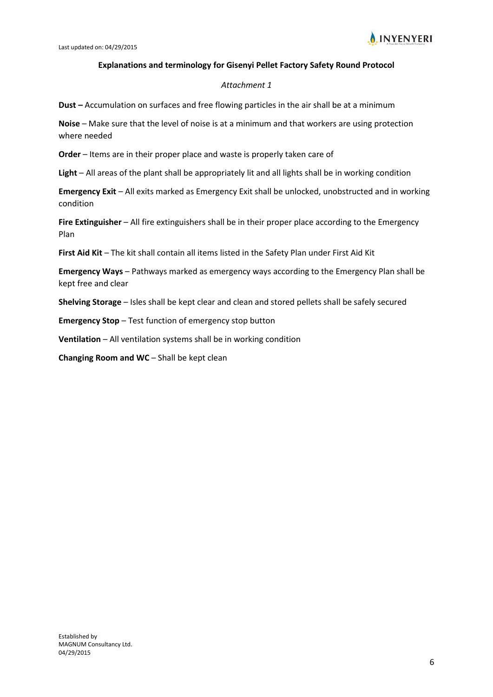

#### **Explanations and terminology for Gisenyi Pellet Factory Safety Round Protocol**

#### *Attachment 1*

**Dust –** Accumulation on surfaces and free flowing particles in the air shall be at a minimum

**Noise** – Make sure that the level of noise is at a minimum and that workers are using protection where needed

**Order** – Items are in their proper place and waste is properly taken care of

**Light** – All areas of the plant shall be appropriately lit and all lights shall be in working condition

**Emergency Exit** – All exits marked as Emergency Exit shall be unlocked, unobstructed and in working condition

**Fire Extinguisher** – All fire extinguishers shall be in their proper place according to the Emergency Plan

**First Aid Kit** – The kit shall contain all items listed in the Safety Plan under First Aid Kit

**Emergency Ways** – Pathways marked as emergency ways according to the Emergency Plan shall be kept free and clear

**Shelving Storage** – Isles shall be kept clear and clean and stored pellets shall be safely secured

**Emergency Stop** – Test function of emergency stop button

**Ventilation** – All ventilation systems shall be in working condition

**Changing Room and WC** – Shall be kept clean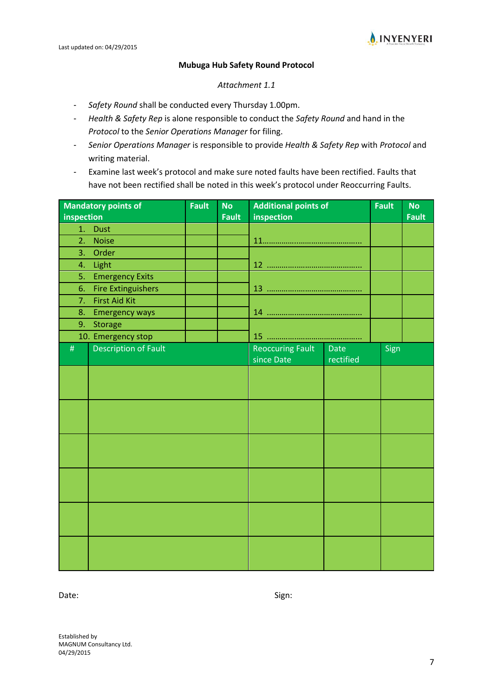

#### **Mubuga Hub Safety Round Protocol**

#### *Attachment 1.1*

- *Safety Round* shall be conducted every Thursday 1.00pm.
- *Health & Safety Rep* is alone responsible to conduct the *Safety Round* and hand in the *Protocol* to the *Senior Operations Manager* for filing.
- *Senior Operations Manager* is responsible to provide *Health & Safety Rep* with *Protocol* and writing material.
- Examine last week's protocol and make sure noted faults have been rectified. Faults that have not been rectified shall be noted in this week's protocol under Reoccurring Faults.

|            | <b>Mandatory points of</b>  | <b>Fault</b> | <b>No</b>    | <b>Additional points of</b> |             | <b>Fault</b> | <b>No</b>    |
|------------|-----------------------------|--------------|--------------|-----------------------------|-------------|--------------|--------------|
| inspection |                             |              | <b>Fault</b> | inspection                  |             |              | <b>Fault</b> |
| 1.         | <b>Dust</b>                 |              |              |                             |             |              |              |
| 2.         | <b>Noise</b>                |              |              |                             |             |              |              |
| 3.         | Order                       |              |              |                             |             |              |              |
| 4.         | Light                       |              |              |                             |             |              |              |
| 5.         | <b>Emergency Exits</b>      |              |              |                             |             |              |              |
| 6.         | <b>Fire Extinguishers</b>   |              |              |                             |             |              |              |
| 7.         | <b>First Aid Kit</b>        |              |              |                             |             |              |              |
| 8.         | <b>Emergency ways</b>       |              |              |                             |             |              |              |
| 9.         | <b>Storage</b>              |              |              |                             |             |              |              |
|            | 10. Emergency stop          |              |              |                             |             |              |              |
| $\#$       | <b>Description of Fault</b> |              |              | <b>Reoccuring Fault</b>     | <b>Date</b> | Sign         |              |
|            |                             |              |              | since Date                  | rectified   |              |              |
|            |                             |              |              |                             |             |              |              |
|            |                             |              |              |                             |             |              |              |
|            |                             |              |              |                             |             |              |              |
|            |                             |              |              |                             |             |              |              |
|            |                             |              |              |                             |             |              |              |
|            |                             |              |              |                             |             |              |              |
|            |                             |              |              |                             |             |              |              |
|            |                             |              |              |                             |             |              |              |
|            |                             |              |              |                             |             |              |              |
|            |                             |              |              |                             |             |              |              |
|            |                             |              |              |                             |             |              |              |
|            |                             |              |              |                             |             |              |              |
|            |                             |              |              |                             |             |              |              |
|            |                             |              |              |                             |             |              |              |
|            |                             |              |              |                             |             |              |              |

Date: Sign: Sign: Sign: Sign: Sign: Sign: Sign: Sign: Sign: Sign: Sign: Sign: Sign: Sign: Sign: Sign: Sign: Sign: Sign: Sign: Sign: Sign: Sign: Sign: Sign: Sign: Sign: Sign: Sign: Sign: Sign: Sign: Sign: Sign: Sign: Sign: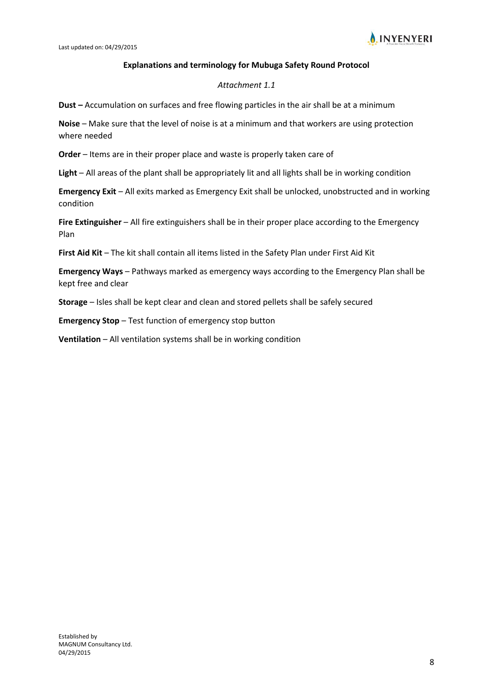

#### **Explanations and terminology for Mubuga Safety Round Protocol**

#### *Attachment 1.1*

**Dust –** Accumulation on surfaces and free flowing particles in the air shall be at a minimum

**Noise** – Make sure that the level of noise is at a minimum and that workers are using protection where needed

**Order** – Items are in their proper place and waste is properly taken care of

**Light** – All areas of the plant shall be appropriately lit and all lights shall be in working condition

**Emergency Exit** – All exits marked as Emergency Exit shall be unlocked, unobstructed and in working condition

**Fire Extinguisher** – All fire extinguishers shall be in their proper place according to the Emergency Plan

**First Aid Kit** – The kit shall contain all items listed in the Safety Plan under First Aid Kit

**Emergency Ways** – Pathways marked as emergency ways according to the Emergency Plan shall be kept free and clear

**Storage** – Isles shall be kept clear and clean and stored pellets shall be safely secured

**Emergency Stop** – Test function of emergency stop button

**Ventilation** – All ventilation systems shall be in working condition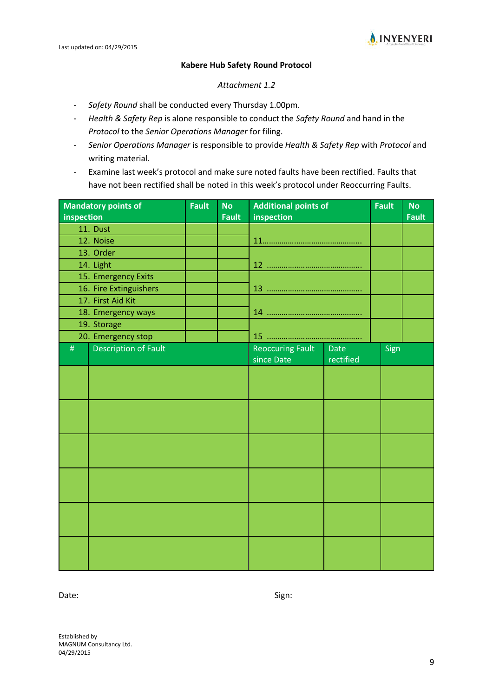

#### **Kabere Hub Safety Round Protocol**

#### *Attachment 1.2*

- *Safety Round* shall be conducted every Thursday 1.00pm.
- *Health & Safety Rep* is alone responsible to conduct the *Safety Round* and hand in the *Protocol* to the *Senior Operations Manager* for filing.
- *Senior Operations Manager* is responsible to provide *Health & Safety Rep* with *Protocol* and writing material.
- Examine last week's protocol and make sure noted faults have been rectified. Faults that have not been rectified shall be noted in this week's protocol under Reoccurring Faults.

|            | <b>Mandatory points of</b>  | <b>Fault</b> | <b>No</b>    | <b>Additional points of</b> |             | <b>Fault</b> | <b>No</b>    |
|------------|-----------------------------|--------------|--------------|-----------------------------|-------------|--------------|--------------|
| inspection |                             |              | <b>Fault</b> | inspection                  |             |              | <b>Fault</b> |
|            | 11. Dust                    |              |              |                             |             |              |              |
|            | 12. Noise                   |              |              |                             |             |              |              |
|            | 13. Order                   |              |              |                             |             |              |              |
|            | 14. Light                   |              |              |                             |             |              |              |
|            | 15. Emergency Exits         |              |              |                             |             |              |              |
|            | 16. Fire Extinguishers      |              |              |                             |             |              |              |
|            | 17. First Aid Kit           |              |              |                             |             |              |              |
|            | 18. Emergency ways          |              |              |                             |             |              |              |
|            | 19. Storage                 |              |              |                             |             |              |              |
|            | 20. Emergency stop          |              |              |                             |             |              |              |
| $\#$       | <b>Description of Fault</b> |              |              | <b>Reoccuring Fault</b>     | <b>Date</b> | Sign         |              |
|            |                             |              |              | since Date                  | rectified   |              |              |
|            |                             |              |              |                             |             |              |              |
|            |                             |              |              |                             |             |              |              |
|            |                             |              |              |                             |             |              |              |
|            |                             |              |              |                             |             |              |              |
|            |                             |              |              |                             |             |              |              |
|            |                             |              |              |                             |             |              |              |
|            |                             |              |              |                             |             |              |              |
|            |                             |              |              |                             |             |              |              |
|            |                             |              |              |                             |             |              |              |
|            |                             |              |              |                             |             |              |              |
|            |                             |              |              |                             |             |              |              |
|            |                             |              |              |                             |             |              |              |
|            |                             |              |              |                             |             |              |              |
|            |                             |              |              |                             |             |              |              |
|            |                             |              |              |                             |             |              |              |
|            |                             |              |              |                             |             |              |              |
|            |                             |              |              |                             |             |              |              |
|            |                             |              |              |                             |             |              |              |

Date: Sign: Sign: Sign: Sign: Sign: Sign: Sign: Sign: Sign: Sign: Sign: Sign: Sign: Sign: Sign: Sign: Sign: Sign: Sign: Sign: Sign: Sign: Sign: Sign: Sign: Sign: Sign: Sign: Sign: Sign: Sign: Sign: Sign: Sign: Sign: Sign: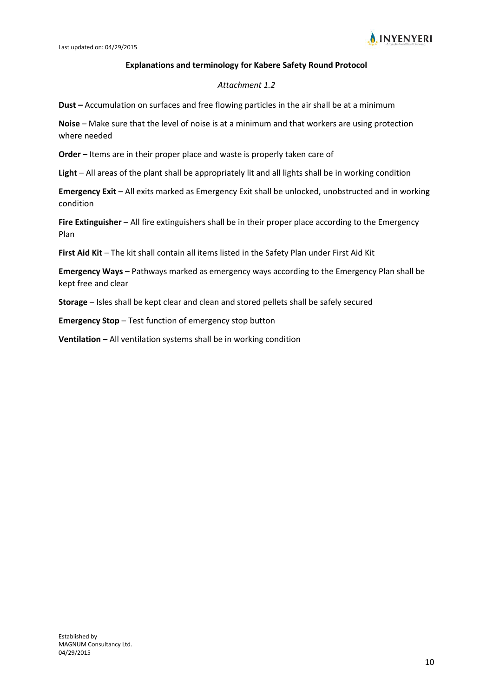

#### **Explanations and terminology for Kabere Safety Round Protocol**

#### *Attachment 1.2*

**Dust –** Accumulation on surfaces and free flowing particles in the air shall be at a minimum

**Noise** – Make sure that the level of noise is at a minimum and that workers are using protection where needed

**Order** – Items are in their proper place and waste is properly taken care of

**Light** – All areas of the plant shall be appropriately lit and all lights shall be in working condition

**Emergency Exit** – All exits marked as Emergency Exit shall be unlocked, unobstructed and in working condition

**Fire Extinguisher** – All fire extinguishers shall be in their proper place according to the Emergency Plan

**First Aid Kit** – The kit shall contain all items listed in the Safety Plan under First Aid Kit

**Emergency Ways** – Pathways marked as emergency ways according to the Emergency Plan shall be kept free and clear

**Storage** – Isles shall be kept clear and clean and stored pellets shall be safely secured

**Emergency Stop** – Test function of emergency stop button

**Ventilation** – All ventilation systems shall be in working condition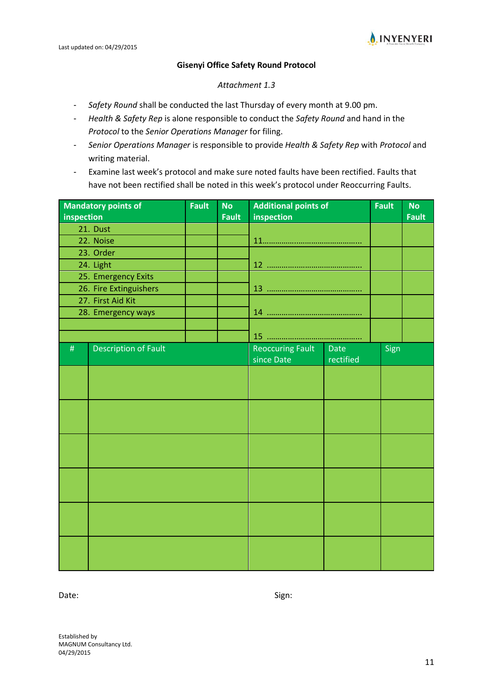

#### **Gisenyi Office Safety Round Protocol**

#### *Attachment 1.3*

- *Safety Round* shall be conducted the last Thursday of every month at 9.00 pm.
- *Health & Safety Rep* is alone responsible to conduct the *Safety Round* and hand in the *Protocol* to the *Senior Operations Manager* for filing.
- *Senior Operations Manager* is responsible to provide *Health & Safety Rep* with *Protocol* and writing material.
- Examine last week's protocol and make sure noted faults have been rectified. Faults that have not been rectified shall be noted in this week's protocol under Reoccurring Faults.

| inspection | <b>Mandatory points of</b>  | <b>Fault</b> | <b>No</b><br><b>Fault</b> | <b>Additional points of</b> |             | <b>Fault</b> | <b>No</b><br><b>Fault</b> |
|------------|-----------------------------|--------------|---------------------------|-----------------------------|-------------|--------------|---------------------------|
|            | 21. Dust                    |              |                           | inspection                  |             |              |                           |
|            | 22. Noise                   |              |                           |                             |             |              |                           |
|            | 23. Order                   |              |                           |                             |             |              |                           |
|            | 24. Light                   |              |                           |                             |             |              |                           |
|            | 25. Emergency Exits         |              |                           |                             |             |              |                           |
|            | 26. Fire Extinguishers      |              |                           |                             |             |              |                           |
|            | 27. First Aid Kit           |              |                           |                             |             |              |                           |
|            | 28. Emergency ways          |              |                           |                             |             |              |                           |
|            |                             |              |                           |                             |             |              |                           |
|            |                             |              |                           |                             |             |              |                           |
| $\#$       | <b>Description of Fault</b> |              |                           | <b>Reoccuring Fault</b>     | <b>Date</b> | Sign         |                           |
|            |                             |              |                           | since Date                  | rectified   |              |                           |
|            |                             |              |                           |                             |             |              |                           |
|            |                             |              |                           |                             |             |              |                           |
|            |                             |              |                           |                             |             |              |                           |
|            |                             |              |                           |                             |             |              |                           |
|            |                             |              |                           |                             |             |              |                           |
|            |                             |              |                           |                             |             |              |                           |
|            |                             |              |                           |                             |             |              |                           |
|            |                             |              |                           |                             |             |              |                           |
|            |                             |              |                           |                             |             |              |                           |
|            |                             |              |                           |                             |             |              |                           |
|            |                             |              |                           |                             |             |              |                           |
|            |                             |              |                           |                             |             |              |                           |
|            |                             |              |                           |                             |             |              |                           |
|            |                             |              |                           |                             |             |              |                           |
|            |                             |              |                           |                             |             |              |                           |
|            |                             |              |                           |                             |             |              |                           |
|            |                             |              |                           |                             |             |              |                           |

Date: Sign: Sign: Sign: Sign: Sign: Sign: Sign: Sign: Sign: Sign: Sign: Sign: Sign: Sign: Sign: Sign: Sign: Sign: Sign: Sign: Sign: Sign: Sign: Sign: Sign: Sign: Sign: Sign: Sign: Sign: Sign: Sign: Sign: Sign: Sign: Sign: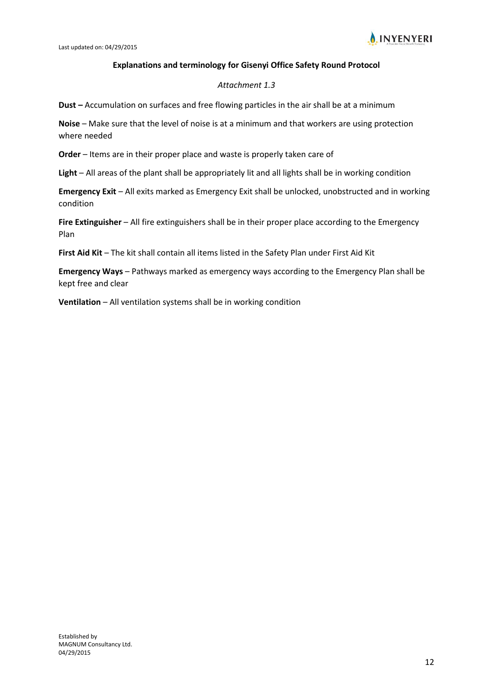

#### **Explanations and terminology for Gisenyi Office Safety Round Protocol**

#### *Attachment 1.3*

**Dust –** Accumulation on surfaces and free flowing particles in the air shall be at a minimum

**Noise** – Make sure that the level of noise is at a minimum and that workers are using protection where needed

**Order** – Items are in their proper place and waste is properly taken care of

**Light** – All areas of the plant shall be appropriately lit and all lights shall be in working condition

**Emergency Exit** – All exits marked as Emergency Exit shall be unlocked, unobstructed and in working condition

**Fire Extinguisher** – All fire extinguishers shall be in their proper place according to the Emergency Plan

**First Aid Kit** – The kit shall contain all items listed in the Safety Plan under First Aid Kit

**Emergency Ways** – Pathways marked as emergency ways according to the Emergency Plan shall be kept free and clear

**Ventilation** – All ventilation systems shall be in working condition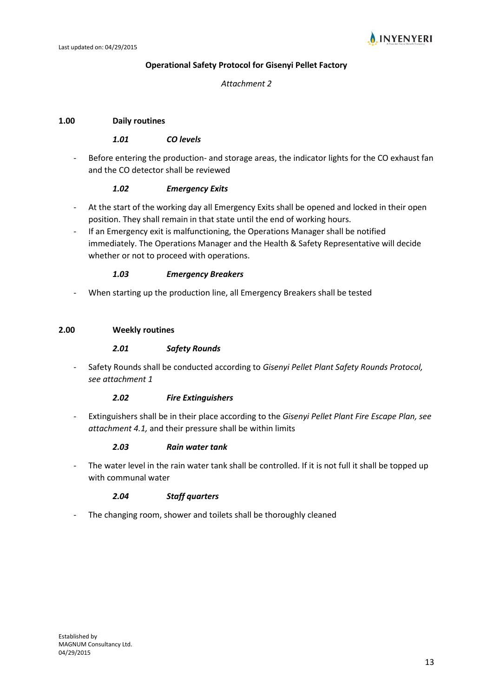

#### **Operational Safety Protocol for Gisenyi Pellet Factory**

#### *Attachment 2*

#### **1.00 Daily routines**

#### *1.01 CO levels*

- Before entering the production- and storage areas, the indicator lights for the CO exhaust fan and the CO detector shall be reviewed

#### *1.02 Emergency Exits*

- At the start of the working day all Emergency Exits shall be opened and locked in their open position. They shall remain in that state until the end of working hours.
- If an Emergency exit is malfunctioning, the Operations Manager shall be notified immediately. The Operations Manager and the Health & Safety Representative will decide whether or not to proceed with operations.

#### *1.03 Emergency Breakers*

When starting up the production line, all Emergency Breakers shall be tested

#### **2.00 Weekly routines**

#### *2.01 Safety Rounds*

- Safety Rounds shall be conducted according to *Gisenyi Pellet Plant Safety Rounds Protocol, see attachment 1*

#### *2.02 Fire Extinguishers*

- Extinguishers shall be in their place according to the *Gisenyi Pellet Plant Fire Escape Plan, see attachment 4.1,* and their pressure shall be within limits

#### *2.03 Rain water tank*

The water level in the rain water tank shall be controlled. If it is not full it shall be topped up with communal water

#### *2.04 Staff quarters*

The changing room, shower and toilets shall be thoroughly cleaned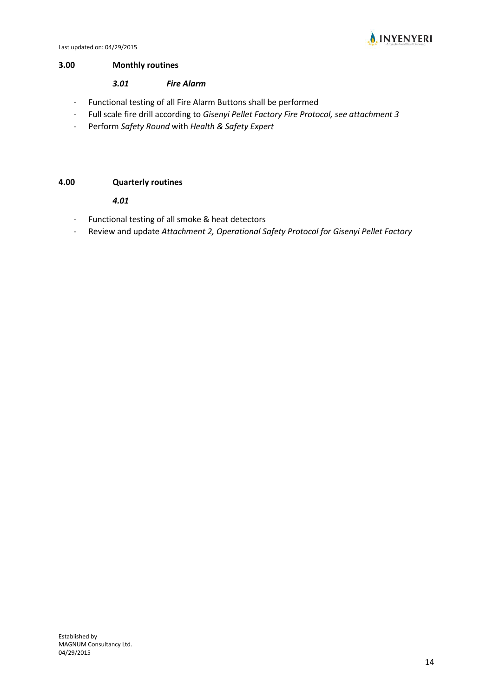

#### **3.00 Monthly routines**

#### *3.01 Fire Alarm*

- Functional testing of all Fire Alarm Buttons shall be performed
- Full scale fire drill according to *Gisenyi Pellet Factory Fire Protocol, see attachment 3*
- Perform *Safety Round* with *Health & Safety Expert*

#### **4.00 Quarterly routines**

#### *4.01*

- Functional testing of all smoke & heat detectors
- Review and update *Attachment 2, Operational Safety Protocol for Gisenyi Pellet Factory*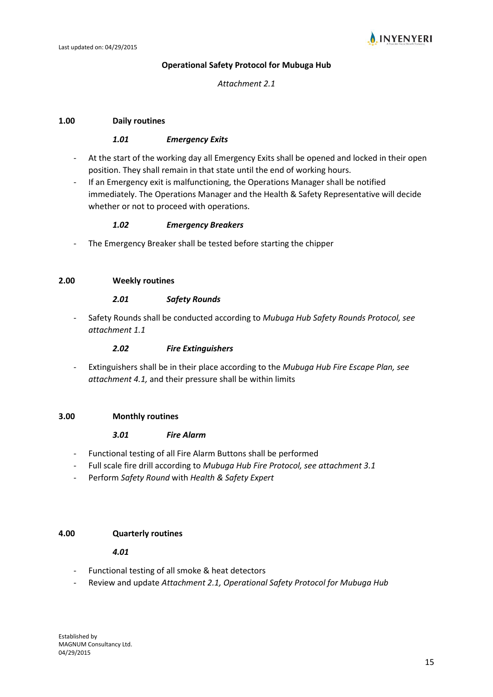

#### **Operational Safety Protocol for Mubuga Hub**

#### *Attachment 2.1*

#### **1.00 Daily routines**

#### *1.01 Emergency Exits*

- At the start of the working day all Emergency Exits shall be opened and locked in their open position. They shall remain in that state until the end of working hours.
- If an Emergency exit is malfunctioning, the Operations Manager shall be notified immediately. The Operations Manager and the Health & Safety Representative will decide whether or not to proceed with operations.

#### *1.02 Emergency Breakers*

The Emergency Breaker shall be tested before starting the chipper

#### **2.00 Weekly routines**

#### *2.01 Safety Rounds*

- Safety Rounds shall be conducted according to *Mubuga Hub Safety Rounds Protocol, see attachment 1.1*

#### *2.02 Fire Extinguishers*

- Extinguishers shall be in their place according to the *Mubuga Hub Fire Escape Plan, see attachment 4.1,* and their pressure shall be within limits

#### **3.00 Monthly routines**

#### *3.01 Fire Alarm*

- Functional testing of all Fire Alarm Buttons shall be performed
- Full scale fire drill according to *Mubuga Hub Fire Protocol, see attachment 3.1*
- Perform *Safety Round* with *Health & Safety Expert*

#### **4.00 Quarterly routines**

#### *4.01*

- Functional testing of all smoke & heat detectors
- Review and update Attachment 2.1, Operational Safety Protocol for Mubuga Hub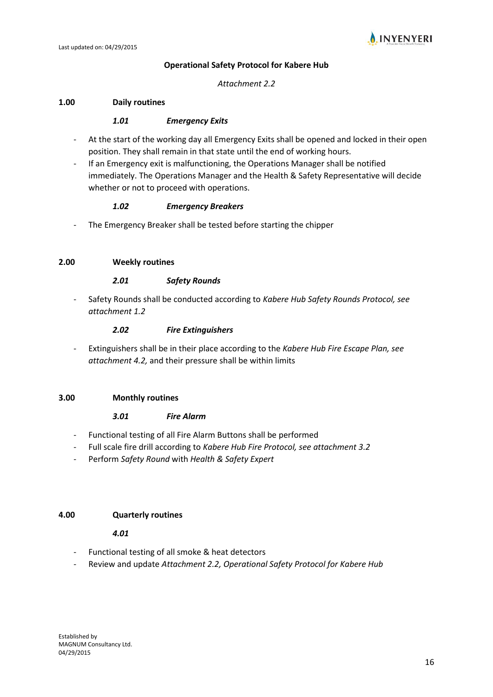

#### **Operational Safety Protocol for Kabere Hub**

#### *Attachment 2.2*

#### **1.00 Daily routines**

#### *1.01 Emergency Exits*

- At the start of the working day all Emergency Exits shall be opened and locked in their open position. They shall remain in that state until the end of working hours.
- If an Emergency exit is malfunctioning, the Operations Manager shall be notified immediately. The Operations Manager and the Health & Safety Representative will decide whether or not to proceed with operations.

#### *1.02 Emergency Breakers*

The Emergency Breaker shall be tested before starting the chipper

#### **2.00 Weekly routines**

#### *2.01 Safety Rounds*

- Safety Rounds shall be conducted according to *Kabere Hub Safety Rounds Protocol, see attachment 1.2*

#### *2.02 Fire Extinguishers*

- Extinguishers shall be in their place according to the *Kabere Hub Fire Escape Plan, see attachment 4.2,* and their pressure shall be within limits

#### **3.00 Monthly routines**

#### *3.01 Fire Alarm*

- Functional testing of all Fire Alarm Buttons shall be performed
- Full scale fire drill according to *Kabere Hub Fire Protocol, see attachment 3.2*
- Perform *Safety Round* with *Health & Safety Expert*

#### **4.00 Quarterly routines**

#### *4.01*

- Functional testing of all smoke & heat detectors
- Review and update *Attachment 2.2, Operational Safety Protocol for Kabere Hub*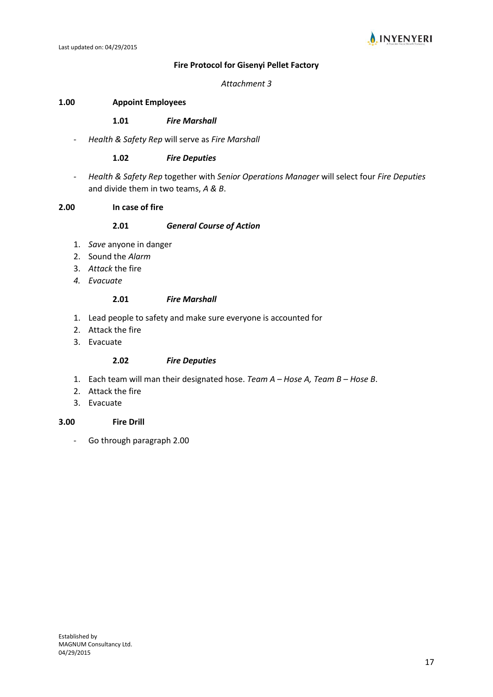



#### **Fire Protocol for Gisenyi Pellet Factory**

#### *Attachment 3*

#### **1.00 Appoint Employees**

#### **1.01** *Fire Marshall*

- *Health & Safety Rep* will serve as *Fire Marshall*

#### **1.02** *Fire Deputies*

- *Health & Safety Rep* together with *Senior Operations Manager* will select four *Fire Deputies*  and divide them in two teams, *A & B*.

#### **2.00 In case of fire**

#### **2.01** *General Course of Action*

- 1. *Save* anyone in danger
- 2. Sound the *Alarm*
- 3. *Attack* the fire
- *4. Evacuate*

#### **2.01** *Fire Marshall*

- 1. Lead people to safety and make sure everyone is accounted for
- 2. Attack the fire
- 3. Evacuate

#### **2.02** *Fire Deputies*

- 1. Each team will man their designated hose. *Team A – Hose A, Team B – Hose B*.
- 2. Attack the fire
- 3. Evacuate

#### **3.00 Fire Drill**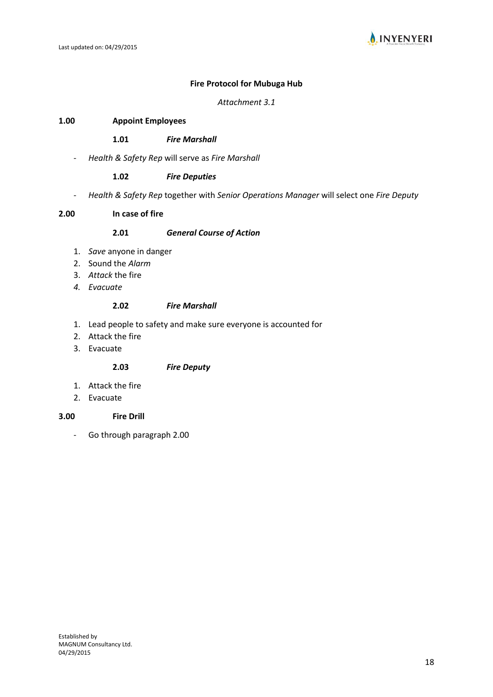

#### **Fire Protocol for Mubuga Hub**

*Attachment 3.1*

#### **1.00 Appoint Employees**

#### **1.01** *Fire Marshall*

- *Health & Safety Rep* will serve as *Fire Marshall*

#### **1.02** *Fire Deputies*

- *Health & Safety Rep* together with *Senior Operations Manager* will select one *Fire Deputy*

#### **2.00 In case of fire**

#### **2.01** *General Course of Action*

- 1. *Save* anyone in danger
- 2. Sound the *Alarm*
- 3. *Attack* the fire
- *4. Evacuate*

#### **2.02** *Fire Marshall*

- 1. Lead people to safety and make sure everyone is accounted for
- 2. Attack the fire
- 3. Evacuate

#### **2.03** *Fire Deputy*

- 1. Attack the fire
- 2. Evacuate

#### **3.00 Fire Drill**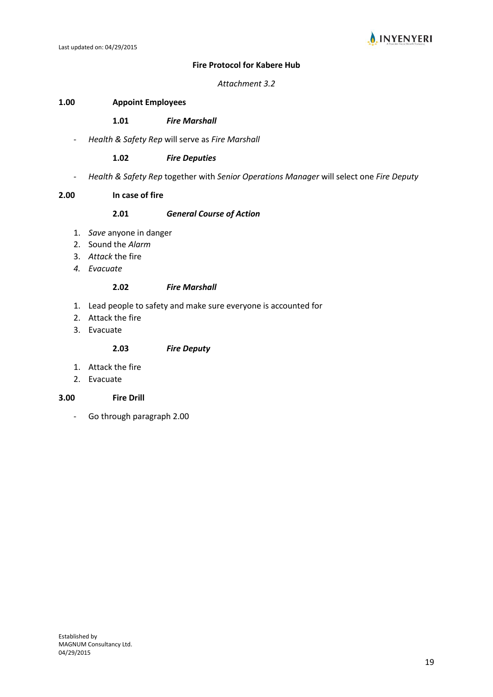

#### **Fire Protocol for Kabere Hub**

#### *Attachment 3.2*

#### **1.00 Appoint Employees**

#### **1.01** *Fire Marshall*

- *Health & Safety Rep* will serve as *Fire Marshall*

#### **1.02** *Fire Deputies*

- *Health & Safety Rep* together with *Senior Operations Manager* will select one *Fire Deputy*

#### **2.00 In case of fire**

#### **2.01** *General Course of Action*

- 1. *Save* anyone in danger
- 2. Sound the *Alarm*
- 3. *Attack* the fire
- *4. Evacuate*

#### **2.02** *Fire Marshall*

- 1. Lead people to safety and make sure everyone is accounted for
- 2. Attack the fire
- 3. Evacuate

#### **2.03** *Fire Deputy*

- 1. Attack the fire
- 2. Evacuate

#### **3.00 Fire Drill**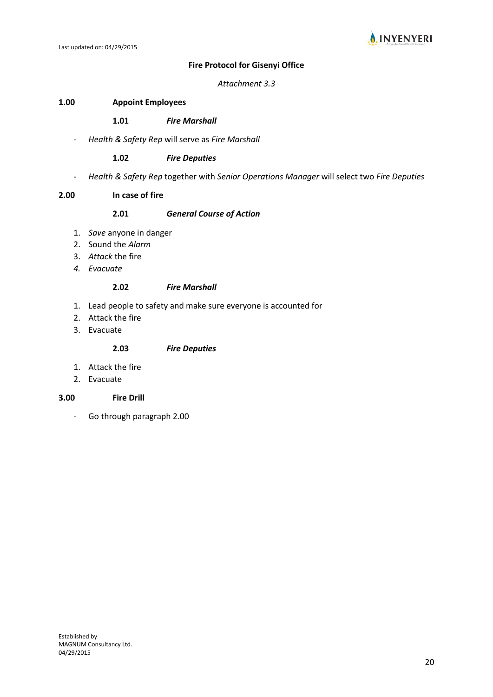

#### **Fire Protocol for Gisenyi Office**

#### *Attachment 3.3*

#### **1.00 Appoint Employees**

#### **1.01** *Fire Marshall*

- *Health & Safety Rep* will serve as *Fire Marshall*

#### **1.02** *Fire Deputies*

- *Health & Safety Rep* together with *Senior Operations Manager* will select two *Fire Deputies*

#### **2.00 In case of fire**

#### **2.01** *General Course of Action*

- 1. *Save* anyone in danger
- 2. Sound the *Alarm*
- 3. *Attack* the fire
- *4. Evacuate*

#### **2.02** *Fire Marshall*

- 1. Lead people to safety and make sure everyone is accounted for
- 2. Attack the fire
- 3. Evacuate

#### **2.03** *Fire Deputies*

- 1. Attack the fire
- 2. Evacuate

#### **3.00 Fire Drill**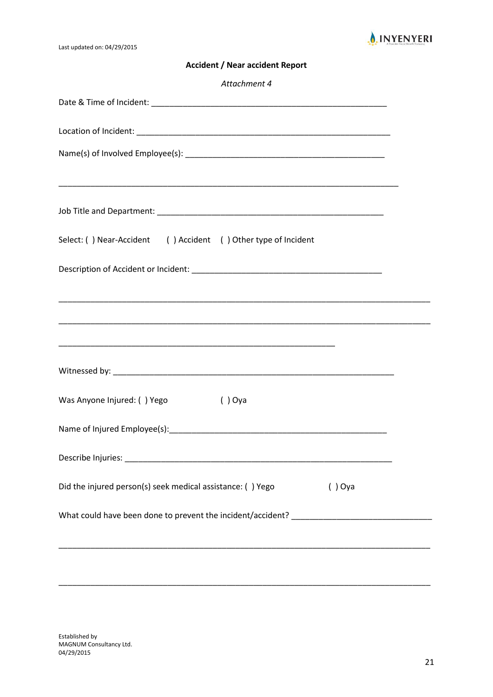

Last updated on: 04/29/2015

**Accident / Near accident Report**

| Attachment 4                                                                      |  |
|-----------------------------------------------------------------------------------|--|
|                                                                                   |  |
|                                                                                   |  |
|                                                                                   |  |
|                                                                                   |  |
|                                                                                   |  |
| Select: () Near-Accident () Accident () Other type of Incident                    |  |
|                                                                                   |  |
|                                                                                   |  |
|                                                                                   |  |
|                                                                                   |  |
|                                                                                   |  |
| Was Anyone Injured: () Yego<br>$()$ Oya                                           |  |
|                                                                                   |  |
|                                                                                   |  |
| Did the injured person(s) seek medical assistance: () Yego<br>$()$ Oya            |  |
| What could have been done to prevent the incident/accident? _____________________ |  |
|                                                                                   |  |
|                                                                                   |  |

\_\_\_\_\_\_\_\_\_\_\_\_\_\_\_\_\_\_\_\_\_\_\_\_\_\_\_\_\_\_\_\_\_\_\_\_\_\_\_\_\_\_\_\_\_\_\_\_\_\_\_\_\_\_\_\_\_\_\_\_\_\_\_\_\_\_\_\_\_\_\_\_\_\_\_\_\_\_\_\_\_\_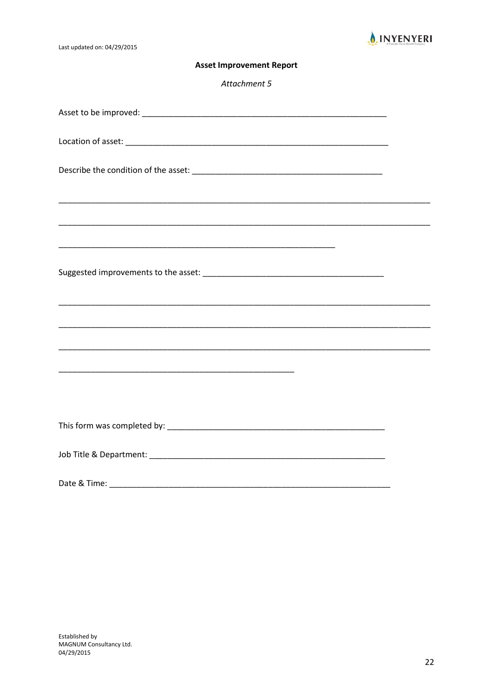

Last updated on: 04/29/2015

#### **Asset Improvement Report**

Attachment 5

| ,我们也不能在这里的时候,我们也不能在这里的时候,我们也不能会在这里,我们也不能会在这里的时候,我们也不能会在这里的时候,我们也不能会在这里的时候,我们也不能会 |  |
|----------------------------------------------------------------------------------|--|
|                                                                                  |  |
|                                                                                  |  |
|                                                                                  |  |
|                                                                                  |  |
|                                                                                  |  |
| Date & Time:                                                                     |  |